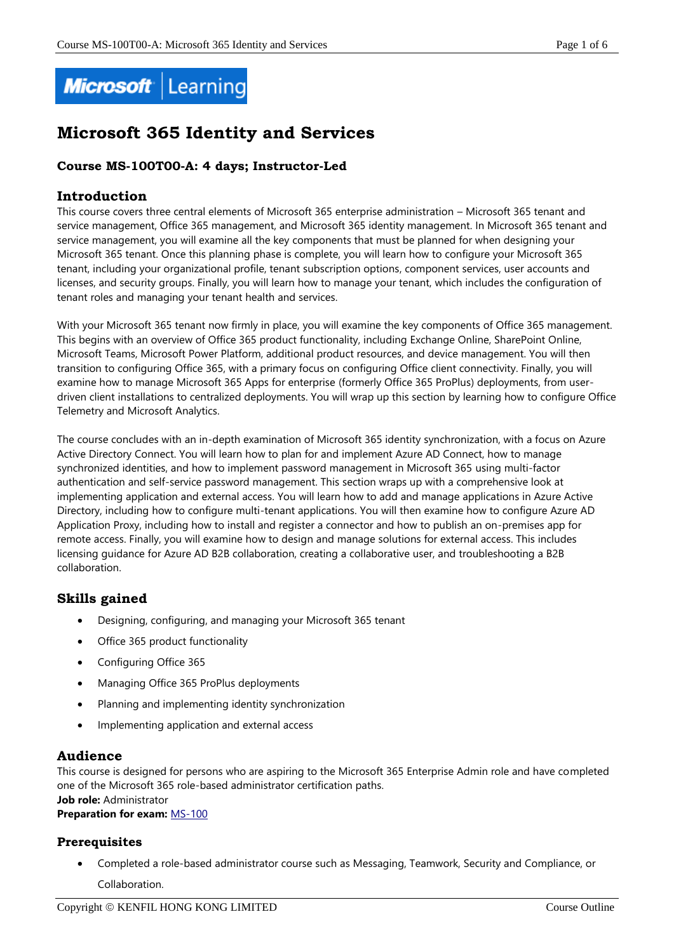

# **Microsoft 365 Identity and Services**

## **Course MS-100T00-A: 4 days; Instructor-Led**

## **Introduction**

This course covers three central elements of Microsoft 365 enterprise administration – Microsoft 365 tenant and service management, Office 365 management, and Microsoft 365 identity management. In Microsoft 365 tenant and service management, you will examine all the key components that must be planned for when designing your Microsoft 365 tenant. Once this planning phase is complete, you will learn how to configure your Microsoft 365 tenant, including your organizational profile, tenant subscription options, component services, user accounts and licenses, and security groups. Finally, you will learn how to manage your tenant, which includes the configuration of tenant roles and managing your tenant health and services.

With your Microsoft 365 tenant now firmly in place, you will examine the key components of Office 365 management. This begins with an overview of Office 365 product functionality, including Exchange Online, SharePoint Online, Microsoft Teams, Microsoft Power Platform, additional product resources, and device management. You will then transition to configuring Office 365, with a primary focus on configuring Office client connectivity. Finally, you will examine how to manage Microsoft 365 Apps for enterprise (formerly Office 365 ProPlus) deployments, from userdriven client installations to centralized deployments. You will wrap up this section by learning how to configure Office Telemetry and Microsoft Analytics.

The course concludes with an in-depth examination of Microsoft 365 identity synchronization, with a focus on Azure Active Directory Connect. You will learn how to plan for and implement Azure AD Connect, how to manage synchronized identities, and how to implement password management in Microsoft 365 using multi-factor authentication and self-service password management. This section wraps up with a comprehensive look at implementing application and external access. You will learn how to add and manage applications in Azure Active Directory, including how to configure multi-tenant applications. You will then examine how to configure Azure AD Application Proxy, including how to install and register a connector and how to publish an on-premises app for remote access. Finally, you will examine how to design and manage solutions for external access. This includes licensing guidance for Azure AD B2B collaboration, creating a collaborative user, and troubleshooting a B2B collaboration.

## **Skills gained**

- Designing, configuring, and managing your Microsoft 365 tenant
- Office 365 product functionality
- Configuring Office 365
- Managing Office 365 ProPlus deployments
- Planning and implementing identity synchronization
- Implementing application and external access

## **Audience**

This course is designed for persons who are aspiring to the Microsoft 365 Enterprise Admin role and have completed one of the Microsoft 365 role-based administrator certification paths. **Job role:** Administrator

**Preparation for exam:** [MS-100](https://docs.microsoft.com/en-us/learn/certifications/exams/ms-100)

## **Prerequisites**

 Completed a role-based administrator course such as Messaging, Teamwork, Security and Compliance, or Collaboration.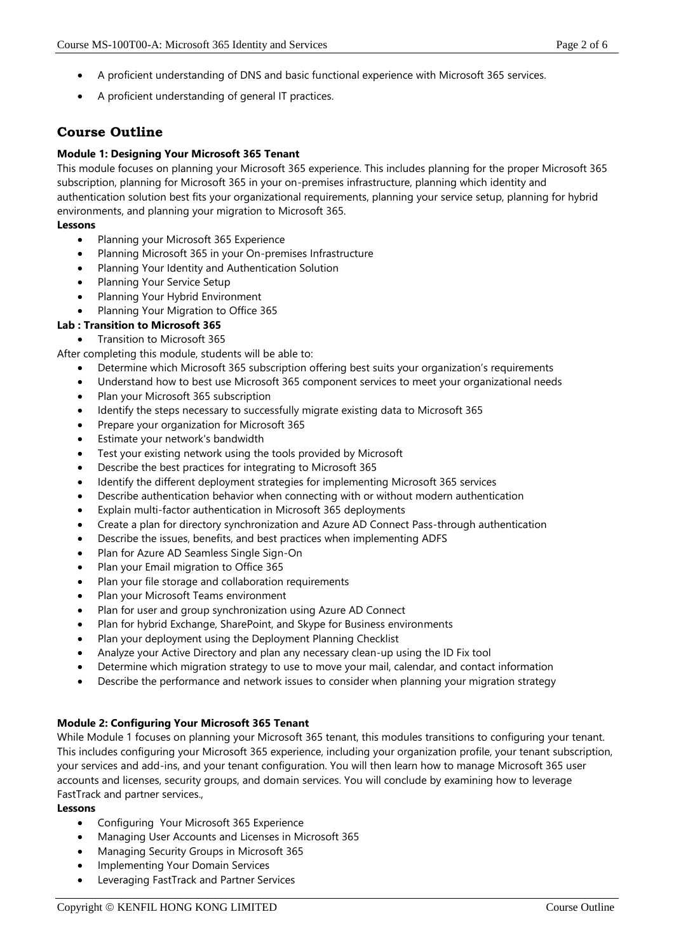- A proficient understanding of DNS and basic functional experience with Microsoft 365 services.
- A proficient understanding of general IT practices.

# **Course Outline**

#### **Module 1: Designing Your Microsoft 365 Tenant**

This module focuses on planning your Microsoft 365 experience. This includes planning for the proper Microsoft 365 subscription, planning for Microsoft 365 in your on-premises infrastructure, planning which identity and authentication solution best fits your organizational requirements, planning your service setup, planning for hybrid environments, and planning your migration to Microsoft 365.

#### **Lessons**

- Planning your Microsoft 365 Experience
- Planning Microsoft 365 in your On-premises Infrastructure
- Planning Your Identity and Authentication Solution
- Planning Your Service Setup
- Planning Your Hybrid Environment
- Planning Your Migration to Office 365

#### **Lab : Transition to Microsoft 365**

Transition to Microsoft 365

After completing this module, students will be able to:

- Determine which Microsoft 365 subscription offering best suits your organization's requirements
- Understand how to best use Microsoft 365 component services to meet your organizational needs
- Plan your Microsoft 365 subscription
- Identify the steps necessary to successfully migrate existing data to Microsoft 365
- Prepare your organization for Microsoft 365
- Estimate your network's bandwidth
- Test your existing network using the tools provided by Microsoft
- Describe the best practices for integrating to Microsoft 365
- Identify the different deployment strategies for implementing Microsoft 365 services
- Describe authentication behavior when connecting with or without modern authentication
- Explain multi-factor authentication in Microsoft 365 deployments
- Create a plan for directory synchronization and Azure AD Connect Pass-through authentication
- Describe the issues, benefits, and best practices when implementing ADFS
- Plan for Azure AD Seamless Single Sign-On
- Plan your Email migration to Office 365
- Plan your file storage and collaboration requirements
- Plan your Microsoft Teams environment
- Plan for user and group synchronization using Azure AD Connect
- Plan for hybrid Exchange, SharePoint, and Skype for Business environments
- Plan your deployment using the Deployment Planning Checklist
- Analyze your Active Directory and plan any necessary clean-up using the ID Fix tool
- Determine which migration strategy to use to move your mail, calendar, and contact information
- Describe the performance and network issues to consider when planning your migration strategy

#### **Module 2: Configuring Your Microsoft 365 Tenant**

While Module 1 focuses on planning your Microsoft 365 tenant, this modules transitions to configuring your tenant. This includes configuring your Microsoft 365 experience, including your organization profile, your tenant subscription, your services and add-ins, and your tenant configuration. You will then learn how to manage Microsoft 365 user accounts and licenses, security groups, and domain services. You will conclude by examining how to leverage FastTrack and partner services.,

#### **Lessons**

- Configuring Your Microsoft 365 Experience
- Managing User Accounts and Licenses in Microsoft 365
- Managing Security Groups in Microsoft 365
- Implementing Your Domain Services
- Leveraging FastTrack and Partner Services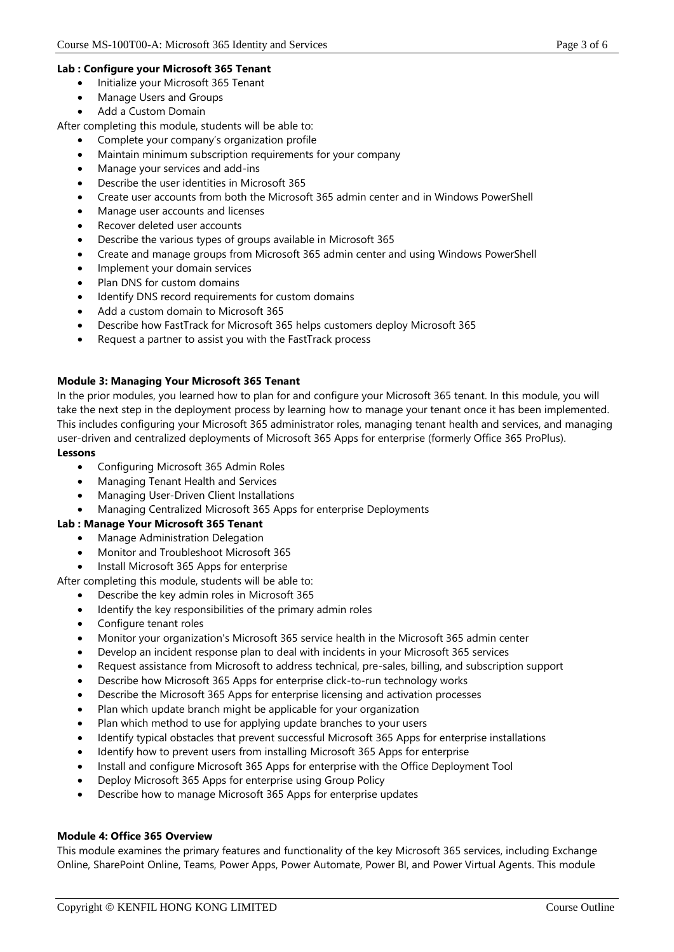#### **Lab : Configure your Microsoft 365 Tenant**

- Initialize your Microsoft 365 Tenant
- Manage Users and Groups
- Add a Custom Domain

After completing this module, students will be able to:

- Complete your company's organization profile
- Maintain minimum subscription requirements for your company
- Manage your services and add-ins
- Describe the user identities in Microsoft 365
- Create user accounts from both the Microsoft 365 admin center and in Windows PowerShell
- Manage user accounts and licenses
- Recover deleted user accounts
- Describe the various types of groups available in Microsoft 365
- Create and manage groups from Microsoft 365 admin center and using Windows PowerShell
- Implement your domain services
- Plan DNS for custom domains
- Identify DNS record requirements for custom domains
- Add a custom domain to Microsoft 365
- Describe how FastTrack for Microsoft 365 helps customers deploy Microsoft 365
- Request a partner to assist you with the FastTrack process

#### **Module 3: Managing Your Microsoft 365 Tenant**

In the prior modules, you learned how to plan for and configure your Microsoft 365 tenant. In this module, you will take the next step in the deployment process by learning how to manage your tenant once it has been implemented. This includes configuring your Microsoft 365 administrator roles, managing tenant health and services, and managing user-driven and centralized deployments of Microsoft 365 Apps for enterprise (formerly Office 365 ProPlus).

#### **Lessons**

- Configuring Microsoft 365 Admin Roles
- Managing Tenant Health and Services
- Managing User-Driven Client Installations
- Managing Centralized Microsoft 365 Apps for enterprise Deployments

#### **Lab : Manage Your Microsoft 365 Tenant**

- Manage Administration Delegation
- Monitor and Troubleshoot Microsoft 365
- Install Microsoft 365 Apps for enterprise

After completing this module, students will be able to:

- Describe the key admin roles in Microsoft 365
- Identify the key responsibilities of the primary admin roles
- Configure tenant roles
- Monitor your organization's Microsoft 365 service health in the Microsoft 365 admin center
- Develop an incident response plan to deal with incidents in your Microsoft 365 services
- Request assistance from Microsoft to address technical, pre-sales, billing, and subscription support
- Describe how Microsoft 365 Apps for enterprise click-to-run technology works
- Describe the Microsoft 365 Apps for enterprise licensing and activation processes
- Plan which update branch might be applicable for your organization
- Plan which method to use for applying update branches to your users
- Identify typical obstacles that prevent successful Microsoft 365 Apps for enterprise installations
- Identify how to prevent users from installing Microsoft 365 Apps for enterprise
- Install and configure Microsoft 365 Apps for enterprise with the Office Deployment Tool
- Deploy Microsoft 365 Apps for enterprise using Group Policy
- Describe how to manage Microsoft 365 Apps for enterprise updates

#### **Module 4: Office 365 Overview**

This module examines the primary features and functionality of the key Microsoft 365 services, including Exchange Online, SharePoint Online, Teams, Power Apps, Power Automate, Power BI, and Power Virtual Agents. This module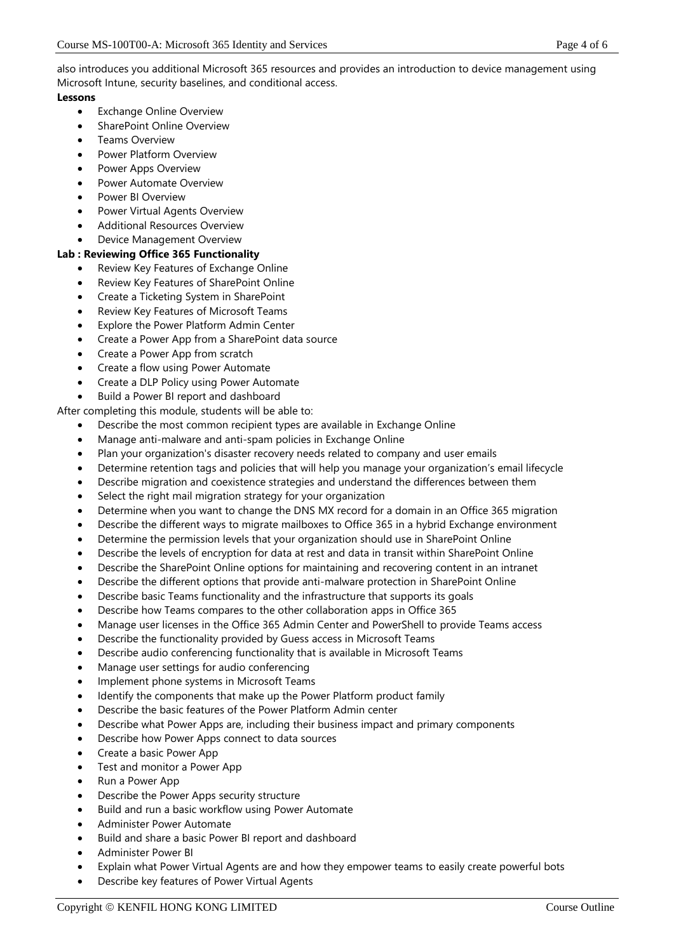also introduces you additional Microsoft 365 resources and provides an introduction to device management using Microsoft Intune, security baselines, and conditional access.

#### **Lessons**

- Exchange Online Overview
- SharePoint Online Overview
- Teams Overview
- Power Platform Overview
- Power Apps Overview
- Power Automate Overview
- Power BI Overview
- Power Virtual Agents Overview
- Additional Resources Overview
- Device Management Overview

#### **Lab : Reviewing Office 365 Functionality**

- Review Key Features of Exchange Online
- Review Key Features of SharePoint Online
- Create a Ticketing System in SharePoint
- Review Key Features of Microsoft Teams
- Explore the Power Platform Admin Center
- Create a Power App from a SharePoint data source
- Create a Power App from scratch
- Create a flow using Power Automate
- Create a DLP Policy using Power Automate
- Build a Power BI report and dashboard

After completing this module, students will be able to:

- Describe the most common recipient types are available in Exchange Online
- Manage anti-malware and anti-spam policies in Exchange Online
- Plan your organization's disaster recovery needs related to company and user emails
- Determine retention tags and policies that will help you manage your organization's email lifecycle
- Describe migration and coexistence strategies and understand the differences between them
- Select the right mail migration strategy for your organization
- Determine when you want to change the DNS MX record for a domain in an Office 365 migration
- Describe the different ways to migrate mailboxes to Office 365 in a hybrid Exchange environment
- Determine the permission levels that your organization should use in SharePoint Online
- Describe the levels of encryption for data at rest and data in transit within SharePoint Online
- Describe the SharePoint Online options for maintaining and recovering content in an intranet
- Describe the different options that provide anti-malware protection in SharePoint Online
- Describe basic Teams functionality and the infrastructure that supports its goals
- Describe how Teams compares to the other collaboration apps in Office 365
- Manage user licenses in the Office 365 Admin Center and PowerShell to provide Teams access
- Describe the functionality provided by Guess access in Microsoft Teams
- Describe audio conferencing functionality that is available in Microsoft Teams
- Manage user settings for audio conferencing
- Implement phone systems in Microsoft Teams
- Identify the components that make up the Power Platform product family
- Describe the basic features of the Power Platform Admin center
- Describe what Power Apps are, including their business impact and primary components
- Describe how Power Apps connect to data sources
- Create a basic Power App
- Test and monitor a Power App
- Run a Power App
- Describe the Power Apps security structure
- Build and run a basic workflow using Power Automate
- Administer Power Automate
- Build and share a basic Power BI report and dashboard
- Administer Power BI
- Explain what Power Virtual Agents are and how they empower teams to easily create powerful bots
- Describe key features of Power Virtual Agents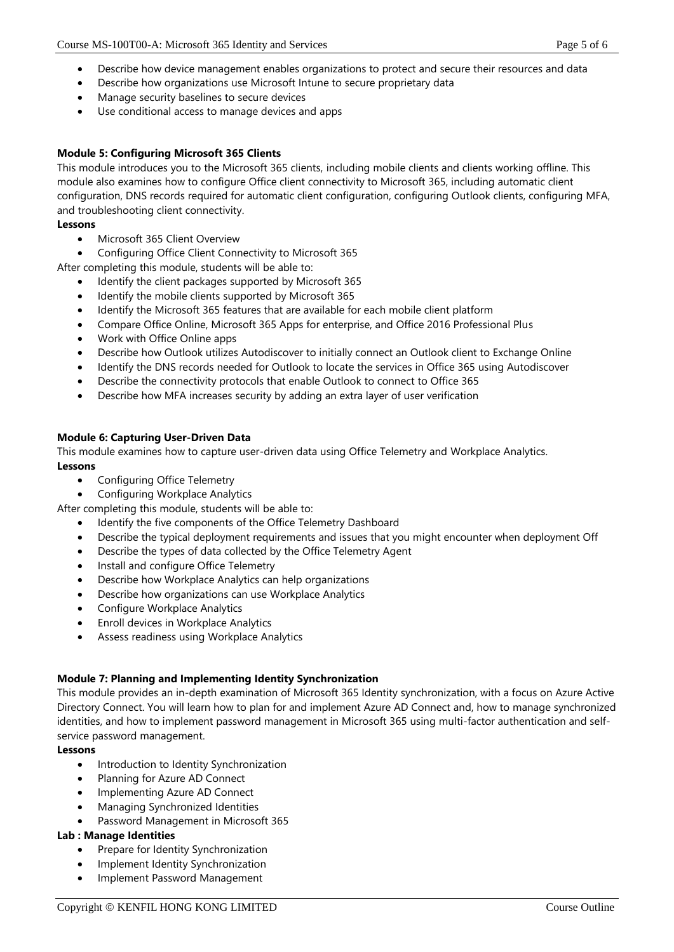- Describe how device management enables organizations to protect and secure their resources and data
- Describe how organizations use Microsoft Intune to secure proprietary data
- Manage security baselines to secure devices
- Use conditional access to manage devices and apps

### **Module 5: Configuring Microsoft 365 Clients**

This module introduces you to the Microsoft 365 clients, including mobile clients and clients working offline. This module also examines how to configure Office client connectivity to Microsoft 365, including automatic client configuration, DNS records required for automatic client configuration, configuring Outlook clients, configuring MFA, and troubleshooting client connectivity.

#### **Lessons**

- Microsoft 365 Client Overview
- Configuring Office Client Connectivity to Microsoft 365

After completing this module, students will be able to:

- Identify the client packages supported by Microsoft 365
- Identify the mobile clients supported by Microsoft 365
- Identify the Microsoft 365 features that are available for each mobile client platform
- Compare Office Online, Microsoft 365 Apps for enterprise, and Office 2016 Professional Plus
- Work with Office Online apps
- Describe how Outlook utilizes Autodiscover to initially connect an Outlook client to Exchange Online
- Identify the DNS records needed for Outlook to locate the services in Office 365 using Autodiscover
- Describe the connectivity protocols that enable Outlook to connect to Office 365
- Describe how MFA increases security by adding an extra layer of user verification

#### **Module 6: Capturing User-Driven Data**

This module examines how to capture user-driven data using Office Telemetry and Workplace Analytics. **Lessons**

- Configuring Office Telemetry
- Configuring Workplace Analytics

After completing this module, students will be able to:

- Identify the five components of the Office Telemetry Dashboard
- Describe the typical deployment requirements and issues that you might encounter when deployment Off
- Describe the types of data collected by the Office Telemetry Agent
- Install and configure Office Telemetry
- Describe how Workplace Analytics can help organizations
- Describe how organizations can use Workplace Analytics
- Configure Workplace Analytics
- Enroll devices in Workplace Analytics
- Assess readiness using Workplace Analytics

#### **Module 7: Planning and Implementing Identity Synchronization**

This module provides an in-depth examination of Microsoft 365 Identity synchronization, with a focus on Azure Active Directory Connect. You will learn how to plan for and implement Azure AD Connect and, how to manage synchronized identities, and how to implement password management in Microsoft 365 using multi-factor authentication and selfservice password management.

#### **Lessons**

- Introduction to Identity Synchronization
- Planning for Azure AD Connect
- Implementing Azure AD Connect
- Managing Synchronized Identities
- Password Management in Microsoft 365

#### **Lab : Manage Identities**

- Prepare for Identity Synchronization
- Implement Identity Synchronization
- Implement Password Management